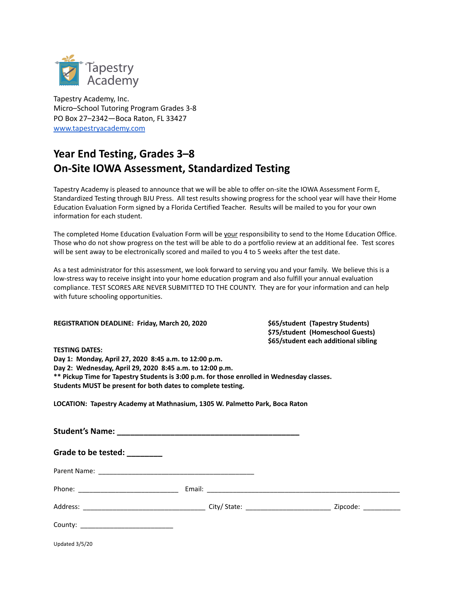

Tapestry Academy, Inc. Micro–School Tutoring Program Grades 3-8 PO Box 27–2342—Boca Raton, FL 33427 [www.tapestryacademy.com](http://www.tapestryacademy.com/)

## **Year End Testing, Grades 3–8 On-Site IOWA Assessment, Standardized Testing**

Tapestry Academy is pleased to announce that we will be able to offer on-site the IOWA Assessment Form E, Standardized Testing through BJU Press. All test results showing progress for the school year will have their Home Education Evaluation Form signed by a Florida Certified Teacher. Results will be mailed to you for your own information for each student.

The completed Home Education Evaluation Form will be your responsibility to send to the Home Education Office. Those who do not show progress on the test will be able to do a portfolio review at an additional fee. Test scores will be sent away to be electronically scored and mailed to you 4 to 5 weeks after the test date.

As a test administrator for this assessment, we look forward to serving you and your family. We believe this is a low-stress way to receive insight into your home education program and also fulfill your annual evaluation compliance. TEST SCORES ARE NEVER SUBMITTED TO THE COUNTY. They are for your information and can help with future schooling opportunities.

| REGISTRATION DEADLINE: Friday, March 20, 2020                                              | \$65/student (Tapestry Students)<br>\$75/student (Homeschool Guests)<br>\$65/student each additional sibling |  |
|--------------------------------------------------------------------------------------------|--------------------------------------------------------------------------------------------------------------|--|
| <b>TESTING DATES:</b>                                                                      |                                                                                                              |  |
| Day 1: Monday, April 27, 2020 8:45 a.m. to 12:00 p.m.                                      |                                                                                                              |  |
| Day 2: Wednesday, April 29, 2020 8:45 a.m. to 12:00 p.m.                                   |                                                                                                              |  |
| ** Pickup Time for Tapestry Students is 3:00 p.m. for those enrolled in Wednesday classes. |                                                                                                              |  |
| Students MUST be present for both dates to complete testing.                               |                                                                                                              |  |
| LOCATION: Tapestry Academy at Mathnasium, 1305 W. Palmetto Park, Boca Raton                |                                                                                                              |  |
|                                                                                            |                                                                                                              |  |
|                                                                                            |                                                                                                              |  |
|                                                                                            |                                                                                                              |  |
| Grade to be tested: _________                                                              |                                                                                                              |  |
|                                                                                            |                                                                                                              |  |
|                                                                                            |                                                                                                              |  |
|                                                                                            |                                                                                                              |  |
| County: __________________________________                                                 |                                                                                                              |  |
|                                                                                            |                                                                                                              |  |

Updated 3/5/20